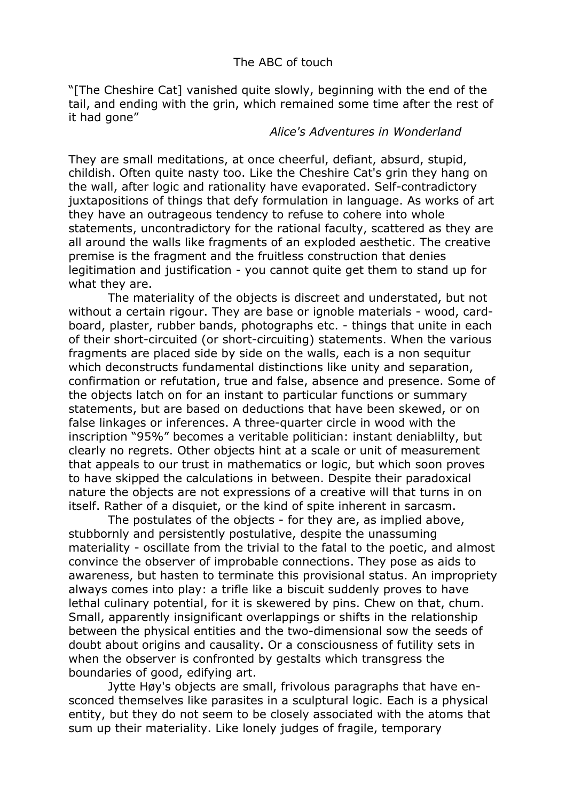"[The Cheshire Cat] vanished quite slowly, beginning with the end of the tail, and ending with the grin, which remained some time after the rest of it had gone"

## *Alice's Adventures in Wonderland*

They are small meditations, at once cheerful, defiant, absurd, stupid, childish. Often quite nasty too. Like the Cheshire Cat's grin they hang on the wall, after logic and rationality have evaporated. Self-contradictory juxtapositions of things that defy formulation in language. As works of art they have an outrageous tendency to refuse to cohere into whole statements, uncontradictory for the rational faculty, scattered as they are all around the walls like fragments of an exploded aesthetic. The creative premise is the fragment and the fruitless construction that denies legitimation and justification - you cannot quite get them to stand up for what they are.

The materiality of the objects is discreet and understated, but not without a certain rigour. They are base or ignoble materials - wood, cardboard, plaster, rubber bands, photographs etc. - things that unite in each of their short-circuited (or short-circuiting) statements. When the various fragments are placed side by side on the walls, each is a non sequitur which deconstructs fundamental distinctions like unity and separation, confirmation or refutation, true and false, absence and presence. Some of the objects latch on for an instant to particular functions or summary statements, but are based on deductions that have been skewed, or on false linkages or inferences. A three-quarter circle in wood with the inscription "95%" becomes a veritable politician: instant deniablilty, but clearly no regrets. Other objects hint at a scale or unit of measurement that appeals to our trust in mathematics or logic, but which soon proves to have skipped the calculations in between. Despite their paradoxical nature the objects are not expressions of a creative will that turns in on itself. Rather of a disquiet, or the kind of spite inherent in sarcasm.

The postulates of the objects - for they are, as implied above, stubbornly and persistently postulative, despite the unassuming materiality - oscillate from the trivial to the fatal to the poetic, and almost convince the observer of improbable connections. They pose as aids to awareness, but hasten to terminate this provisional status. An impropriety always comes into play: a trifle like a biscuit suddenly proves to have lethal culinary potential, for it is skewered by pins. Chew on that, chum. Small, apparently insignificant overlappings or shifts in the relationship between the physical entities and the two-dimensional sow the seeds of doubt about origins and causality. Or a consciousness of futility sets in when the observer is confronted by gestalts which transgress the boundaries of good, edifying art.

Jytte Høy's objects are small, frivolous paragraphs that have ensconced themselves like parasites in a sculptural logic. Each is a physical entity, but they do not seem to be closely associated with the atoms that sum up their materiality. Like lonely judges of fragile, temporary